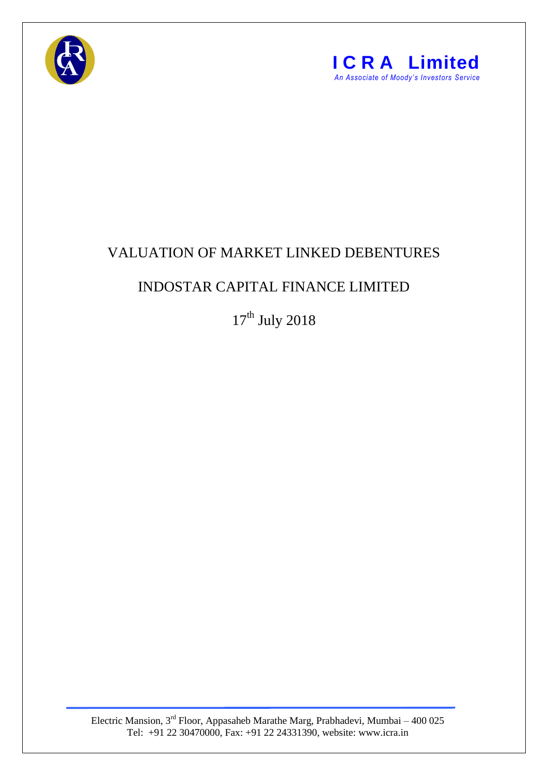



## VALUATION OF MARKET LINKED DEBENTURES

## INDOSTAR CAPITAL FINANCE LIMITED

 $17^{\text{th}}$  July 2018

Electric Mansion, 3<sup>rd</sup> Floor, Appasaheb Marathe Marg, Prabhadevi, Mumbai – 400 025 Tel: +91 22 30470000, Fax: +91 22 24331390, website: www.icra.in